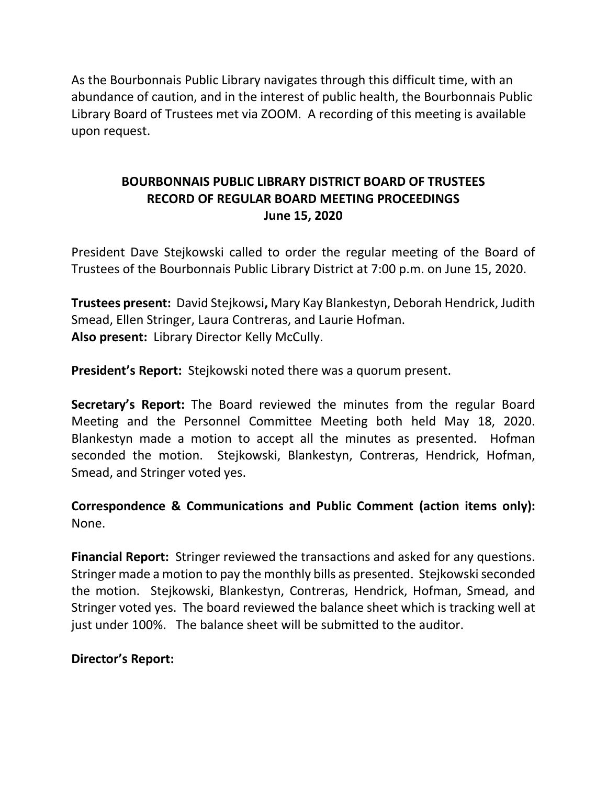As the Bourbonnais Public Library navigates through this difficult time, with an abundance of caution, and in the interest of public health, the Bourbonnais Public Library Board of Trustees met via ZOOM. A recording of this meeting is available upon request.

# **BOURBONNAIS PUBLIC LIBRARY DISTRICT BOARD OF TRUSTEES RECORD OF REGULAR BOARD MEETING PROCEEDINGS June 15, 2020**

President Dave Stejkowski called to order the regular meeting of the Board of Trustees of the Bourbonnais Public Library District at 7:00 p.m. on June 15, 2020.

**Trustees present:** David Stejkowsi**,** Mary Kay Blankestyn, Deborah Hendrick, Judith Smead, Ellen Stringer, Laura Contreras, and Laurie Hofman. **Also present:** Library Director Kelly McCully.

**President's Report:** Stejkowski noted there was a quorum present.

**Secretary's Report:** The Board reviewed the minutes from the regular Board Meeting and the Personnel Committee Meeting both held May 18, 2020. Blankestyn made a motion to accept all the minutes as presented. Hofman seconded the motion. Stejkowski, Blankestyn, Contreras, Hendrick, Hofman, Smead, and Stringer voted yes.

**Correspondence & Communications and Public Comment (action items only):**  None.

**Financial Report:** Stringer reviewed the transactions and asked for any questions. Stringer made a motion to pay the monthly bills as presented. Stejkowski seconded the motion. Stejkowski, Blankestyn, Contreras, Hendrick, Hofman, Smead, and Stringer voted yes. The board reviewed the balance sheet which is tracking well at just under 100%. The balance sheet will be submitted to the auditor.

## **Director's Report:**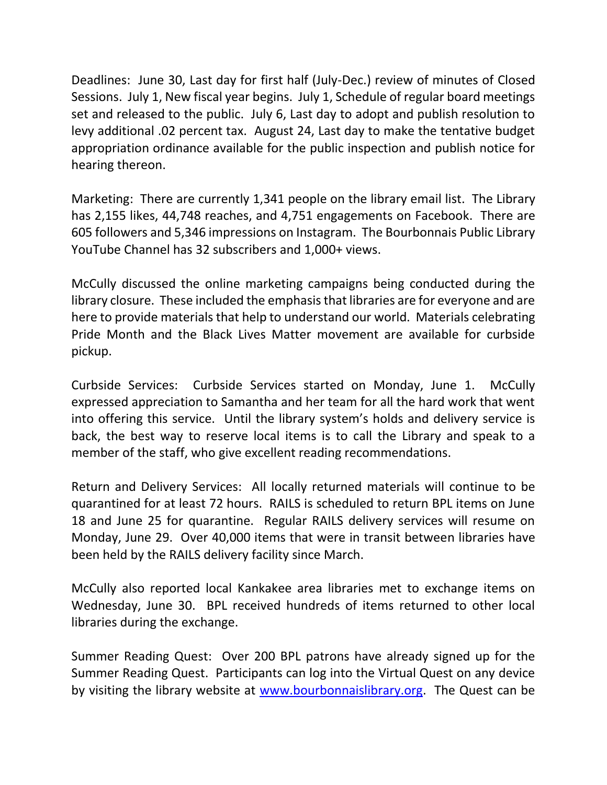Deadlines: June 30, Last day for first half (July-Dec.) review of minutes of Closed Sessions. July 1, New fiscal year begins. July 1, Schedule of regular board meetings set and released to the public. July 6, Last day to adopt and publish resolution to levy additional .02 percent tax. August 24, Last day to make the tentative budget appropriation ordinance available for the public inspection and publish notice for hearing thereon.

Marketing: There are currently 1,341 people on the library email list. The Library has 2,155 likes, 44,748 reaches, and 4,751 engagements on Facebook. There are 605 followers and 5,346 impressions on Instagram. The Bourbonnais Public Library YouTube Channel has 32 subscribers and 1,000+ views.

McCully discussed the online marketing campaigns being conducted during the library closure. These included the emphasis that libraries are for everyone and are here to provide materials that help to understand our world. Materials celebrating Pride Month and the Black Lives Matter movement are available for curbside pickup.

Curbside Services: Curbside Services started on Monday, June 1. McCully expressed appreciation to Samantha and her team for all the hard work that went into offering this service. Until the library system's holds and delivery service is back, the best way to reserve local items is to call the Library and speak to a member of the staff, who give excellent reading recommendations.

Return and Delivery Services: All locally returned materials will continue to be quarantined for at least 72 hours. RAILS is scheduled to return BPL items on June 18 and June 25 for quarantine. Regular RAILS delivery services will resume on Monday, June 29. Over 40,000 items that were in transit between libraries have been held by the RAILS delivery facility since March.

McCully also reported local Kankakee area libraries met to exchange items on Wednesday, June 30. BPL received hundreds of items returned to other local libraries during the exchange.

Summer Reading Quest: Over 200 BPL patrons have already signed up for the Summer Reading Quest. Participants can log into the Virtual Quest on any device by visiting the library website at [www.bourbonnaislibrary.org.](http://www.bourbonnaislibrary.org/) The Quest can be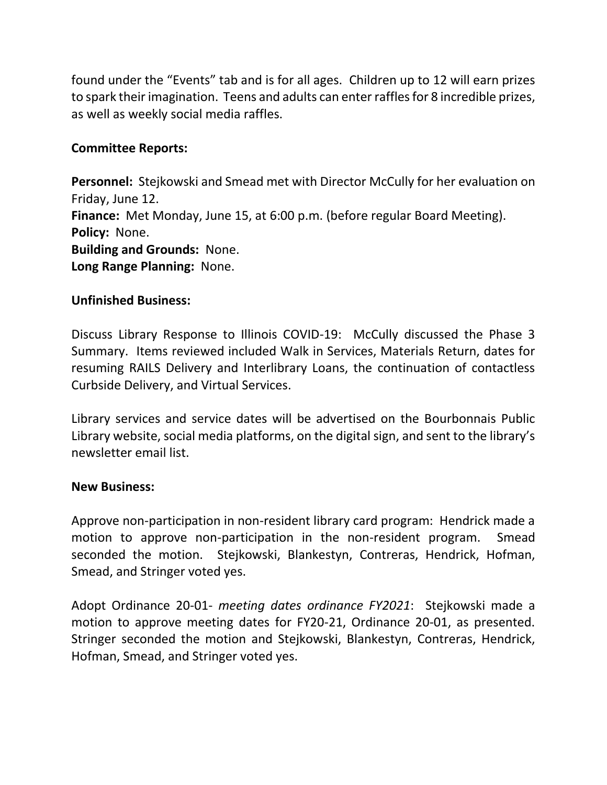found under the "Events" tab and is for all ages. Children up to 12 will earn prizes to spark their imagination. Teens and adults can enter raffles for 8 incredible prizes, as well as weekly social media raffles.

## **Committee Reports:**

**Personnel:** Stejkowski and Smead met with Director McCully for her evaluation on Friday, June 12. **Finance:** Met Monday, June 15, at 6:00 p.m. (before regular Board Meeting). **Policy:** None. **Building and Grounds:** None. **Long Range Planning:** None.

### **Unfinished Business:**

Discuss Library Response to Illinois COVID-19: McCully discussed the Phase 3 Summary. Items reviewed included Walk in Services, Materials Return, dates for resuming RAILS Delivery and Interlibrary Loans, the continuation of contactless Curbside Delivery, and Virtual Services.

Library services and service dates will be advertised on the Bourbonnais Public Library website, social media platforms, on the digital sign, and sent to the library's newsletter email list.

#### **New Business:**

Approve non-participation in non-resident library card program: Hendrick made a motion to approve non-participation in the non-resident program. Smead seconded the motion. Stejkowski, Blankestyn, Contreras, Hendrick, Hofman, Smead, and Stringer voted yes.

Adopt Ordinance 20-01- *meeting dates ordinance FY2021*: Stejkowski made a motion to approve meeting dates for FY20-21, Ordinance 20-01, as presented. Stringer seconded the motion and Stejkowski, Blankestyn, Contreras, Hendrick, Hofman, Smead, and Stringer voted yes.